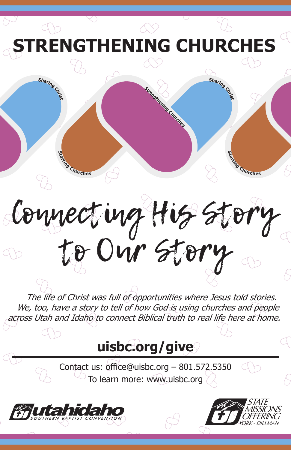**NGTHENING CHURC**I



Connecting His Story to Our Story

The life of Christ was full of opportunities where Jesus told stories. We, too, have a story to tell of how God-is using churches and people across Utah and Idaho to connect Biblical truth to real life here at home.

# **uisbc.org/give**

Contact us: office@uisbc.org – 801.572.5350 To learn more: www.uisbc.org